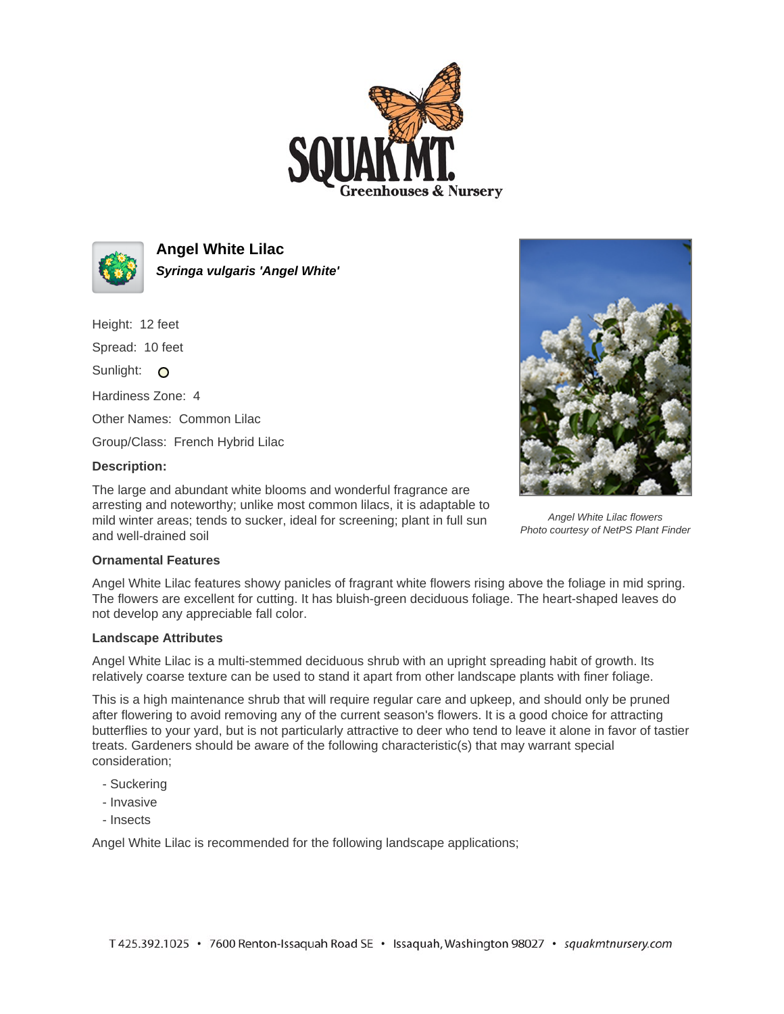



**Angel White Lilac Syringa vulgaris 'Angel White'**

Height: 12 feet Spread: 10 feet Sunlight: O Hardiness Zone: 4 Other Names: Common Lilac Group/Class: French Hybrid Lilac

## **Description:**

The large and abundant white blooms and wonderful fragrance are arresting and noteworthy; unlike most common lilacs, it is adaptable to mild winter areas; tends to sucker, ideal for screening; plant in full sun and well-drained soil



Angel White Lilac flowers Photo courtesy of NetPS Plant Finder

## **Ornamental Features**

Angel White Lilac features showy panicles of fragrant white flowers rising above the foliage in mid spring. The flowers are excellent for cutting. It has bluish-green deciduous foliage. The heart-shaped leaves do not develop any appreciable fall color.

## **Landscape Attributes**

Angel White Lilac is a multi-stemmed deciduous shrub with an upright spreading habit of growth. Its relatively coarse texture can be used to stand it apart from other landscape plants with finer foliage.

This is a high maintenance shrub that will require regular care and upkeep, and should only be pruned after flowering to avoid removing any of the current season's flowers. It is a good choice for attracting butterflies to your yard, but is not particularly attractive to deer who tend to leave it alone in favor of tastier treats. Gardeners should be aware of the following characteristic(s) that may warrant special consideration;

- Suckering
- Invasive
- Insects

Angel White Lilac is recommended for the following landscape applications;